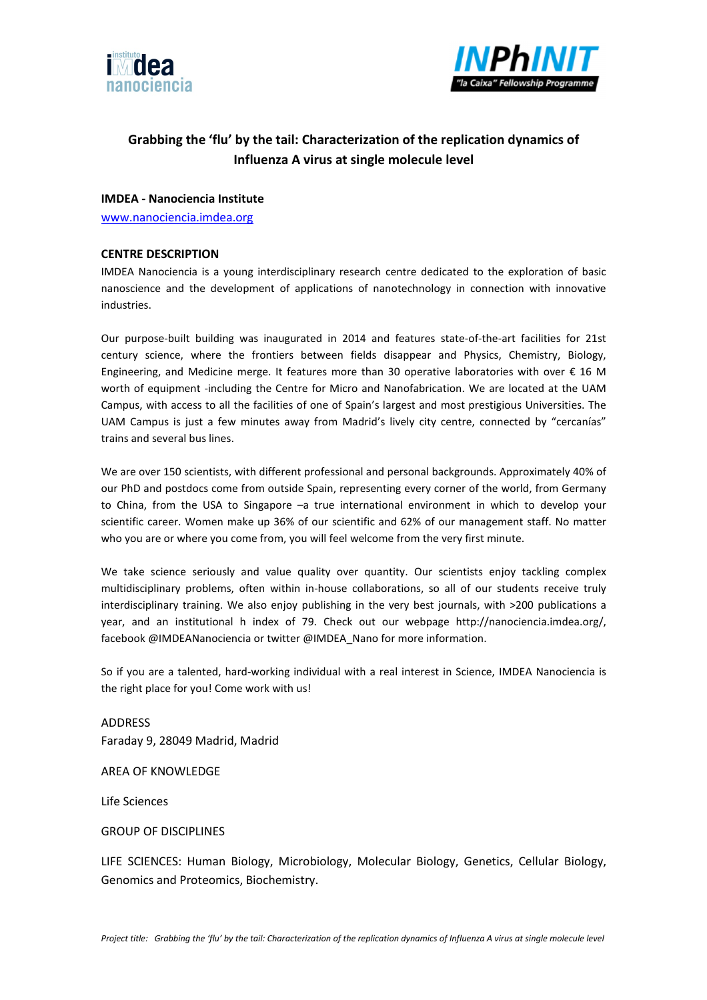



# **Grabbing the 'flu' by the tail: Characterization of the replication dynamics of Influenza A virus at single molecule level**

## **IMDEA - Nanociencia Institute**

www.nanociencia.imdea.org

#### **CENTRE DESCRIPTION**

IMDEA Nanociencia is a young interdisciplinary research centre dedicated to the exploration of basic nanoscience and the development of applications of nanotechnology in connection with innovative industries.

Our purpose-built building was inaugurated in 2014 and features state-of-the-art facilities for 21st century science, where the frontiers between fields disappear and Physics, Chemistry, Biology, Engineering, and Medicine merge. It features more than 30 operative laboratories with over  $\epsilon$  16 M worth of equipment -including the Centre for Micro and Nanofabrication. We are located at the UAM Campus, with access to all the facilities of one of Spain's largest and most prestigious Universities. The UAM Campus is just a few minutes away from Madrid's lively city centre, connected by "cercanías" trains and several bus lines.

We are over 150 scientists, with different professional and personal backgrounds. Approximately 40% of our PhD and postdocs come from outside Spain, representing every corner of the world, from Germany to China, from the USA to Singapore –a true international environment in which to develop your scientific career. Women make up 36% of our scientific and 62% of our management staff. No matter who you are or where you come from, you will feel welcome from the very first minute.

We take science seriously and value quality over quantity. Our scientists enjoy tackling complex multidisciplinary problems, often within in-house collaborations, so all of our students receive truly interdisciplinary training. We also enjoy publishing in the very best journals, with >200 publications a year, and an institutional h index of 79. Check out our webpage http://nanociencia.imdea.org/, facebook @IMDEANanociencia or twitter @IMDEA\_Nano for more information.

So if you are a talented, hard-working individual with a real interest in Science, IMDEA Nanociencia is the right place for you! Come work with us!

ADDRESS Faraday 9, 28049 Madrid, Madrid

AREA OF KNOWLEDGE

Life Sciences

GROUP OF DISCIPLINES

LIFE SCIENCES: Human Biology, Microbiology, Molecular Biology, Genetics, Cellular Biology, Genomics and Proteomics, Biochemistry.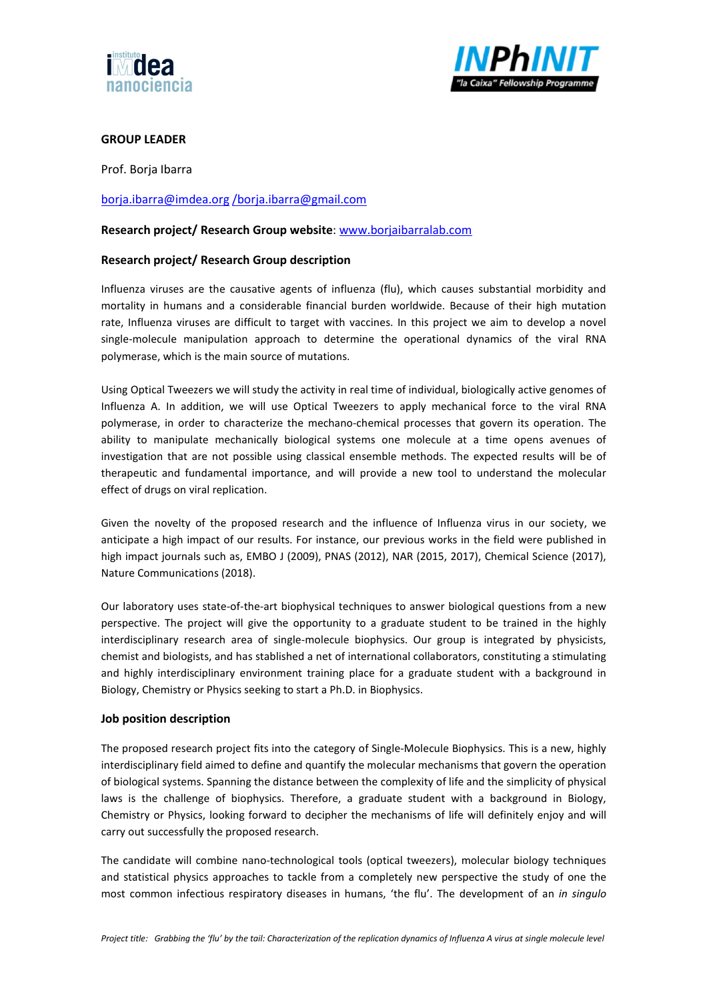



## **GROUP LEADER**

Prof. Borja Ibarra

## borja.ibarra@imdea.org /borja.ibarra@gmail.com

#### **Research project/ Research Group website**: www.borjaibarralab.com

## **Research project/ Research Group description**

Influenza viruses are the causative agents of influenza (flu), which causes substantial morbidity and mortality in humans and a considerable financial burden worldwide. Because of their high mutation rate, Influenza viruses are difficult to target with vaccines. In this project we aim to develop a novel single-molecule manipulation approach to determine the operational dynamics of the viral RNA polymerase, which is the main source of mutations.

Using Optical Tweezers we will study the activity in real time of individual, biologically active genomes of Influenza A. In addition, we will use Optical Tweezers to apply mechanical force to the viral RNA polymerase, in order to characterize the mechano-chemical processes that govern its operation. The ability to manipulate mechanically biological systems one molecule at a time opens avenues of investigation that are not possible using classical ensemble methods. The expected results will be of therapeutic and fundamental importance, and will provide a new tool to understand the molecular effect of drugs on viral replication.

Given the novelty of the proposed research and the influence of Influenza virus in our society, we anticipate a high impact of our results. For instance, our previous works in the field were published in high impact journals such as, EMBO J (2009), PNAS (2012), NAR (2015, 2017), Chemical Science (2017), Nature Communications (2018).

Our laboratory uses state-of-the-art biophysical techniques to answer biological questions from a new perspective. The project will give the opportunity to a graduate student to be trained in the highly interdisciplinary research area of single-molecule biophysics. Our group is integrated by physicists, chemist and biologists, and has stablished a net of international collaborators, constituting a stimulating and highly interdisciplinary environment training place for a graduate student with a background in Biology, Chemistry or Physics seeking to start a Ph.D. in Biophysics.

#### **Job position description**

The proposed research project fits into the category of Single-Molecule Biophysics. This is a new, highly interdisciplinary field aimed to define and quantify the molecular mechanisms that govern the operation of biological systems. Spanning the distance between the complexity of life and the simplicity of physical laws is the challenge of biophysics. Therefore, a graduate student with a background in Biology, Chemistry or Physics, looking forward to decipher the mechanisms of life will definitely enjoy and will carry out successfully the proposed research.

The candidate will combine nano-technological tools (optical tweezers), molecular biology techniques and statistical physics approaches to tackle from a completely new perspective the study of one the most common infectious respiratory diseases in humans, 'the flu'. The development of an *in singulo*